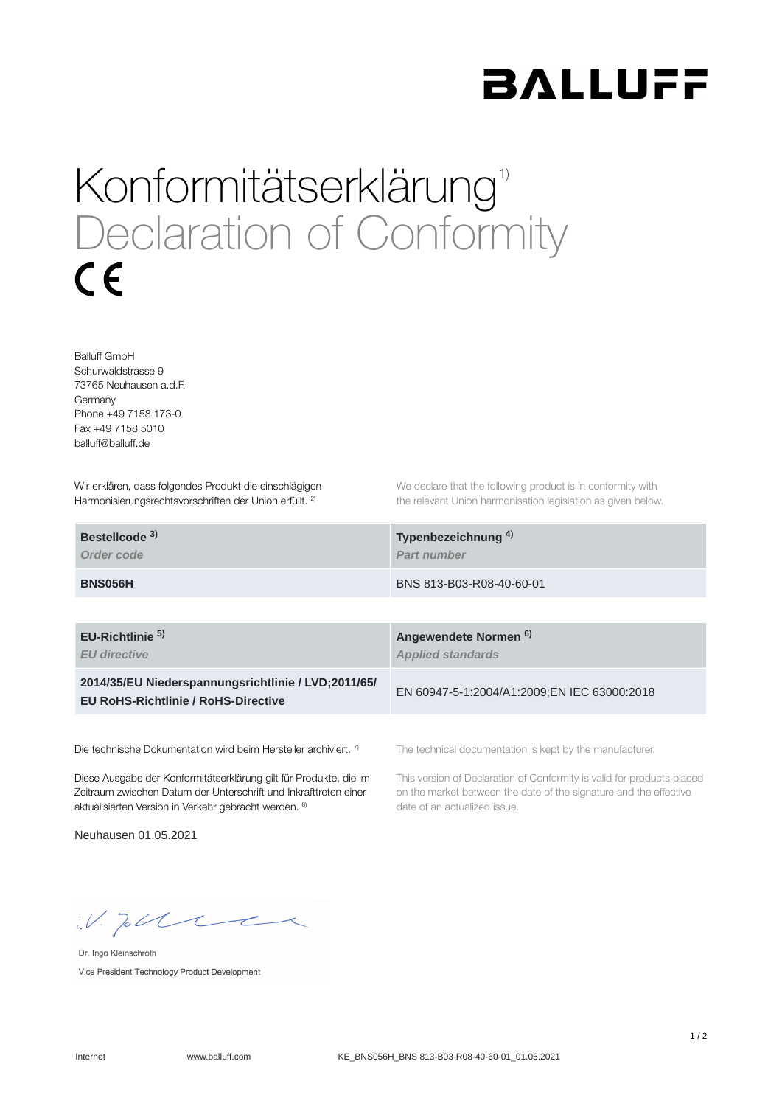

## Konformitätserklärung<sup>1)</sup> Declaration of Conformity  $\epsilon$

Balluff GmbH Schurwaldstrasse 9 73765 Neuhausen a.d.F. Germany Phone +49 7158 173-0 Fax +49 7158 5010 balluff@balluff.de

Wir erklären, dass folgendes Produkt die einschlägigen Harmonisierungsrechtsvorschriften der Union erfüllt. <sup>2)</sup>

We declare that the following product is in conformity with the relevant Union harmonisation legislation as given below.

| Bestellcode <sup>3)</sup> | Typenbezeichnung <sup>4)</sup> |
|---------------------------|--------------------------------|
| Order code                | <b>Part number</b>             |
| <b>BNS056H</b>            | BNS 813-B03-R08-40-60-01       |

**EU-Richtlinie** 

*EU directive*

**2014/35/EU Niederspannungsrichtlinie / LVD;2011/65/ EU RoHS-Richtlinie / RoHS-Directive**

Die technische Dokumentation wird beim Hersteller archiviert. 7)

Diese Ausgabe der Konformitätserklärung gilt für Produkte, die im Zeitraum zwischen Datum der Unterschrift und Inkrafttreten einer aktualisierten Version in Verkehr gebracht werden. 8)

Neuhausen 01.05.2021

**Angewendete Normen 5) 6)***Applied standards*

EN 60947-5-1:2004/A1:2009;EN IEC 63000:2018

The technical documentation is kept by the manufacturer.

This version of Declaration of Conformity is valid for products placed on the market between the date of the signature and the effective date of an actualized issue.

 $W.$  Jobble

Dr. Ingo Kleinschroth Vice President Technology Product Development